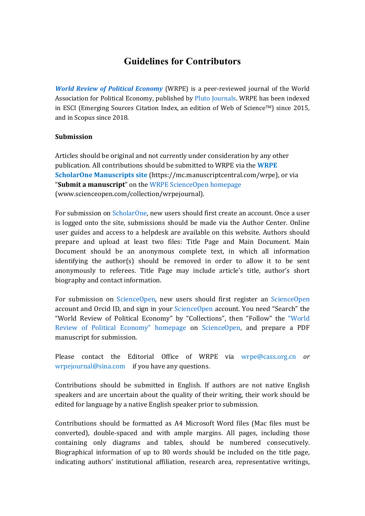# **Guidelines for Contributors**

*[World Review of Poli](http://www.scienceopen.com/collection/wrpejournal)tical Economy* (WRPE) is a peer-reviewed journal of the World Association for Political Economy, published by [Pluto Jou](https://www.plutojournals.com/)rnals. WRPE has been indexed in ESCI (Emerging Sources Citation Index, an edition of Web of Science<sup>TM</sup>) since 2015, and in Scopus since 2018.

#### **Submission**

Articles should be original and not currently under consideration by any other publication. All contributions should be submitted to WRPE via the **[WRP](https://mc.manuscriptcentral.com/wrpe)E [ScholarOne Manu](https://mc.manuscriptcentral.com/wrpe)scripts site** [\(https://mc.manuscriptc](https://mc.manuscriptcentral.com/wrpe)entral.com/wrpe), or via "**Submit a manuscript**" on the [WRPE ScienceOpe](http://www.scienceopen.com/collection/wrpejournal)n homepage (www.scienceopen.com/collection/wrpejournal).

For submission on [Scholar](https://mc.manuscriptcentral.com/wrpe)One, new users should first create an account. Once a user is logged onto the site, submissions should be made via the Author Center. Online user guides and access to a helpdesk are available on this website. Authors should prepare and upload at least two files: Title Page and Main Document. Main Document should be an anonymous complete text, in which all information identifying the author(s) should be removed in order to allow it to be sent anonymously to referees. Title Page may include article's title, author's short biography and contact information.

For submission on [Science](https://www.scienceopen.com/)Open, new users should first register an [Science](https://www.scienceopen.com/)Open account and Orcid ID, and sign in your [Science](https://www.scienceopen.com/)Open account. You need "Search" the "World Review of Political Economy" by "Collections", then "Follow" the ["Wor](http://www.scienceopen.com/collection/wrpejournal)ld [Review of Political Econ](http://www.scienceopen.com/collection/wrpejournal)omy" homepage on [Science](https://www.scienceopen.com/)Open, and prepare a PDF manuscript for submission.

Please contact the Editorial Office of WRPE via [wrpe@cas](mailto:wrpe@cass.org.cn)s.org.cn *or* [wrpejournal@](mailto:wrpejournal@sina.com)sina.comif you have any questions.

Contributions should be submitted in English. If authors are not native English speakers and are uncertain about the quality of their writing, their work should be edited for language by a native English speaker prior to submission.

Contributions should be formatted as A4 Microsoft Word files (Mac files must be converted), double-spaced and with ample margins. All pages, including those containing only diagrams and tables, should be numbered consecutively. Biographical information of up to 80 words should be included on the title page, indicating authors' institutional affiliation, research area, representative writings,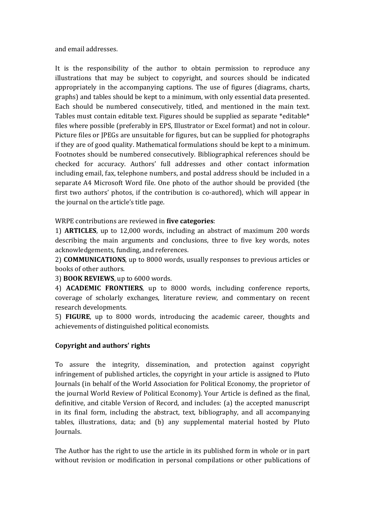and email addresses.

It is the responsibility of the author to obtain permission to reproduce any illustrations that may be subject to copyright, and sources should be indicated appropriately in the accompanying captions. The use of figures (diagrams, charts, graphs) and tables should be kept to a minimum, with only essential data presented. Each should be numbered consecutively, titled, and mentioned in the main text. Tables must contain editable text. Figures should be supplied as separate \*editable\* files where possible (preferably in EPS, Illustrator or Excel format) and not in colour. Picture files or JPEGs are unsuitable for figures, but can be supplied for photographs if they are of good quality. Mathematical formulations should be kept to a minimum. Footnotes should be numbered consecutively. Bibliographical references should be checked for accuracy. Authors' full addresses and other contact information including email, fax, telephone numbers, and postal address should be included in a separate A4 Microsoft Word file. One photo of the author should be provided (the first two authors' photos, if the contribution is co-authored), which will appear in the journal on the article's title page.

WRPE contributions are reviewed in **five categories**:

1) **ARTICLES**, up to 12,000 words, including an abstract of maximum 200 words describing the main arguments and conclusions, three to five key words, notes acknowledgements, funding, and references.

2) **COMMUNICATIONS**, up to 8000 words, usually responses to previous articles or books of other authors.

3) **BOOK REVIEWS**, up to 6000 words.

4) **ACADEMIC FRONTIERS**, up to 8000 words, including conference reports, coverage of scholarly exchanges, literature review, and commentary on recent research developments.

5) **FIGURE**, up to 8000 words, introducing the academic career, thoughts and achievements of distinguished political economists.

#### **Copyright and authors' rights**

To assure the integrity, dissemination, and protection against copyright infringement of published articles, the copyright in your article is assigned to Pluto Journals (in behalf of the World Association for Political Economy, the proprietor of the journal World Review of Political Economy). Your Article is defined as the final, definitive, and citable Version of Record, and includes: (a) the accepted manuscript in its final form, including the abstract, text, bibliography, and all accompanying tables, illustrations, data; and (b) any supplemental material hosted by Pluto Journals.

The Author has the right to use the article in its published form in whole or in part without revision or modification in personal compilations or other publications of